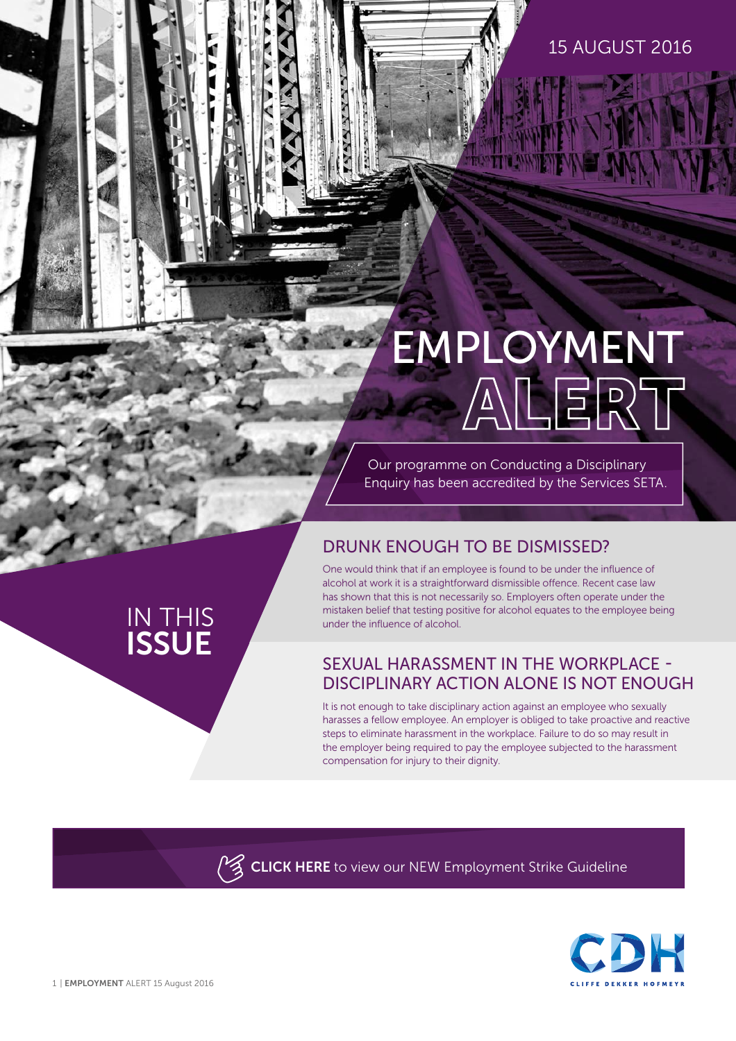## 15 AUGUST 2016

# EMPLOYMENT

Our programme on Conducting a Disciplinary Enquiry has been accredited by the Services SETA.

# DRUNK ENOUGH TO BE DISMISSED?

One would think that if an employee is found to be under the influence of alcohol at work it is a straightforward dismissible offence. Recent case law has shown that this is not necessarily so. Employers often operate under the mistaken belief that testing positive for alcohol equates to the employee being under the influence of alcohol.

## SEXUAL HARASSMENT IN THE WORKPLACE - DISCIPLINARY ACTION ALONE IS NOT ENOUGH

It is not enough to take disciplinary action against an employee who sexually harasses a fellow employee. An employer is obliged to take proactive and reactive steps to eliminate harassment in the workplace. Failure to do so may result in the employer being required to pay the employee subjected to the harassment compensation for injury to their dignity.

**CLICK HERE** to view our NEW Employment Strike Guideline



IN THIS

**ISSUE**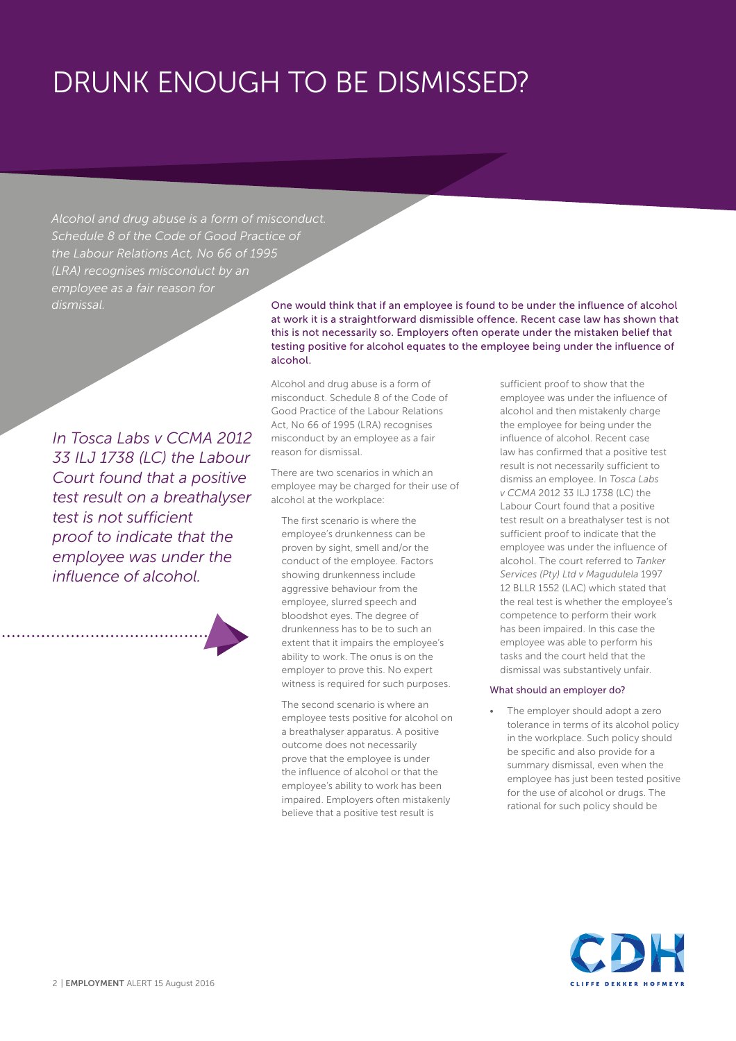# DRUNK ENOUGH TO BE DISMISSED?

*Alcohol and drug abuse is a form of misconduct. Schedule 8 of the Code of Good Practice of the Labour Relations Act, No 66 of 1995 (LRA) recognises misconduct by an employee as a fair reason for* 

*In Tosca Labs v CCMA 2012 33 ILJ 1738 (LC) the Labour Court found that a positive test result on a breathalyser test is not sufficient proof to indicate that the employee was under the influence of alcohol.* 

*dismissal.* One would think that if an employee is found to be under the influence of alcohol at work it is a straightforward dismissible offence. Recent case law has shown that this is not necessarily so. Employers often operate under the mistaken belief that testing positive for alcohol equates to the employee being under the influence of alcohol.

> Alcohol and drug abuse is a form of misconduct. Schedule 8 of the Code of Good Practice of the Labour Relations Act, No 66 of 1995 (LRA) recognises misconduct by an employee as a fair reason for dismissal.

There are two scenarios in which an employee may be charged for their use of alcohol at the workplace:

The first scenario is where the employee's drunkenness can be proven by sight, smell and/or the conduct of the employee. Factors showing drunkenness include aggressive behaviour from the employee, slurred speech and bloodshot eyes. The degree of drunkenness has to be to such an extent that it impairs the employee's ability to work. The onus is on the employer to prove this. No expert witness is required for such purposes.

The second scenario is where an employee tests positive for alcohol on a breathalyser apparatus. A positive outcome does not necessarily prove that the employee is under the influence of alcohol or that the employee's ability to work has been impaired. Employers often mistakenly believe that a positive test result is

sufficient proof to show that the employee was under the influence of alcohol and then mistakenly charge the employee for being under the influence of alcohol. Recent case law has confirmed that a positive test result is not necessarily sufficient to dismiss an employee. In *Tosca Labs v CCMA* 2012 33 ILJ 1738 (LC) the Labour Court found that a positive test result on a breathalyser test is not sufficient proof to indicate that the employee was under the influence of alcohol. The court referred to *Tanker Services (Pty) Ltd v Magudulela* 1997 12 BLLR 1552 (LAC) which stated that the real test is whether the employee's competence to perform their work has been impaired. In this case the employee was able to perform his tasks and the court held that the dismissal was substantively unfair.

#### What should an employer do?

The employer should adopt a zero tolerance in terms of its alcohol policy in the workplace. Such policy should be specific and also provide for a summary dismissal, even when the employee has just been tested positive for the use of alcohol or drugs. The rational for such policy should be

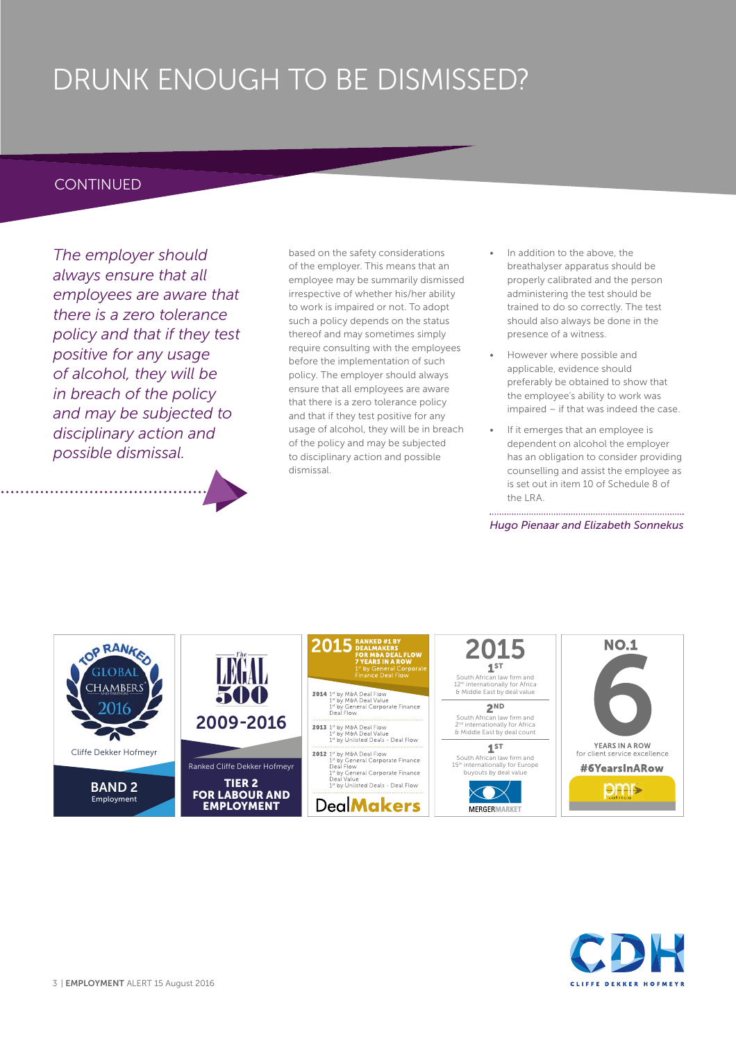# DRUNK ENOUGH TO BE DISMISSED?

## **CONTINUED**

*The employer should always ensure that all employees are aware that there is a zero tolerance policy and that if they test positive for any usage of alcohol, they will be in breach of the policy and may be subjected to disciplinary action and possible dismissal.* 

based on the safety considerations of the employer. This means that an employee may be summarily dismissed irrespective of whether his/her ability to work is impaired or not. To adopt such a policy depends on the status thereof and may sometimes simply require consulting with the employees before the implementation of such policy. The employer should always ensure that all employees are aware that there is a zero tolerance policy and that if they test positive for any usage of alcohol, they will be in breach of the policy and may be subjected to disciplinary action and possible dismissal.

- In addition to the above, the breathalyser apparatus should be properly calibrated and the person administering the test should be trained to do so correctly. The test should also always be done in the presence of a witness.
- However where possible and applicable, evidence should preferably be obtained to show that the employee's ability to work was impaired – if that was indeed the case.
- If it emerges that an employee is dependent on alcohol the employer has an obligation to consider providing counselling and assist the employee as is set out in item 10 of Schedule 8 of the LRA.

*Hugo Pienaar and Elizabeth Sonnekus*



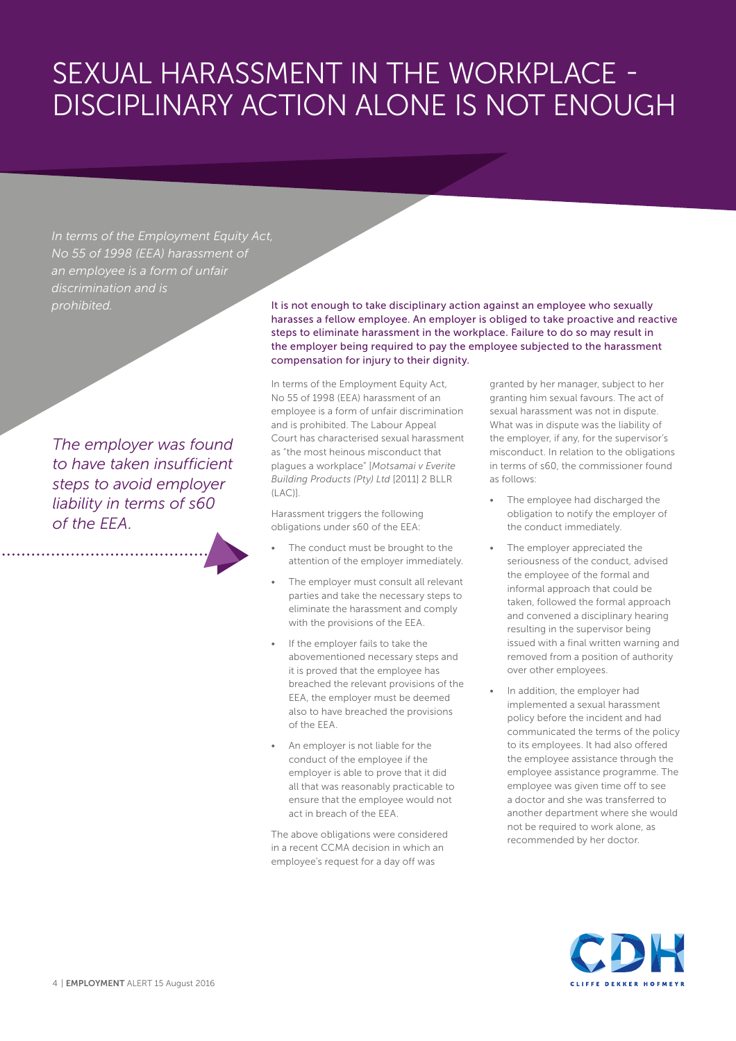# SEXUAL HARASSMENT IN THE WORKPLACE - DISCIPLINARY ACTION ALONE IS NOT ENOUGH

*In terms of the Employment Equity Act, No 55 of 1998 (EEA) harassment of an employee is a form of unfair discrimination and is* 

*The employer was found to have taken insufficient steps to avoid employer liability in terms of s60 of the EEA.* 

*prohibited.* It is not enough to take disciplinary action against an employee who sexually harasses a fellow employee. An employer is obliged to take proactive and reactive steps to eliminate harassment in the workplace. Failure to do so may result in the employer being required to pay the employee subjected to the harassment compensation for injury to their dignity.

> In terms of the Employment Equity Act, No 55 of 1998 (EEA) harassment of an employee is a form of unfair discrimination and is prohibited. The Labour Appeal Court has characterised sexual harassment as "the most heinous misconduct that plagues a workplace" [*Motsamai v Everite Building Products (Pty) Ltd* [2011] 2 BLLR (LAC)].

Harassment triggers the following obligations under s60 of the EEA:

- The conduct must be brought to the attention of the employer immediately.
- The employer must consult all relevant parties and take the necessary steps to eliminate the harassment and comply with the provisions of the EEA.
- If the employer fails to take the abovementioned necessary steps and it is proved that the employee has breached the relevant provisions of the EEA, the employer must be deemed also to have breached the provisions of the EEA.
- An employer is not liable for the conduct of the employee if the employer is able to prove that it did all that was reasonably practicable to ensure that the employee would not act in breach of the EEA.

The above obligations were considered in a recent CCMA decision in which an employee's request for a day off was

granted by her manager, subject to her granting him sexual favours. The act of sexual harassment was not in dispute. What was in dispute was the liability of the employer, if any, for the supervisor's misconduct. In relation to the obligations in terms of s60, the commissioner found as follows:

- The employee had discharged the obligation to notify the employer of the conduct immediately.
- The employer appreciated the seriousness of the conduct, advised the employee of the formal and informal approach that could be taken, followed the formal approach and convened a disciplinary hearing resulting in the supervisor being issued with a final written warning and removed from a position of authority over other employees.
- In addition, the employer had implemented a sexual harassment policy before the incident and had communicated the terms of the policy to its employees. It had also offered the employee assistance through the employee assistance programme. The employee was given time off to see a doctor and she was transferred to another department where she would not be required to work alone, as recommended by her doctor.

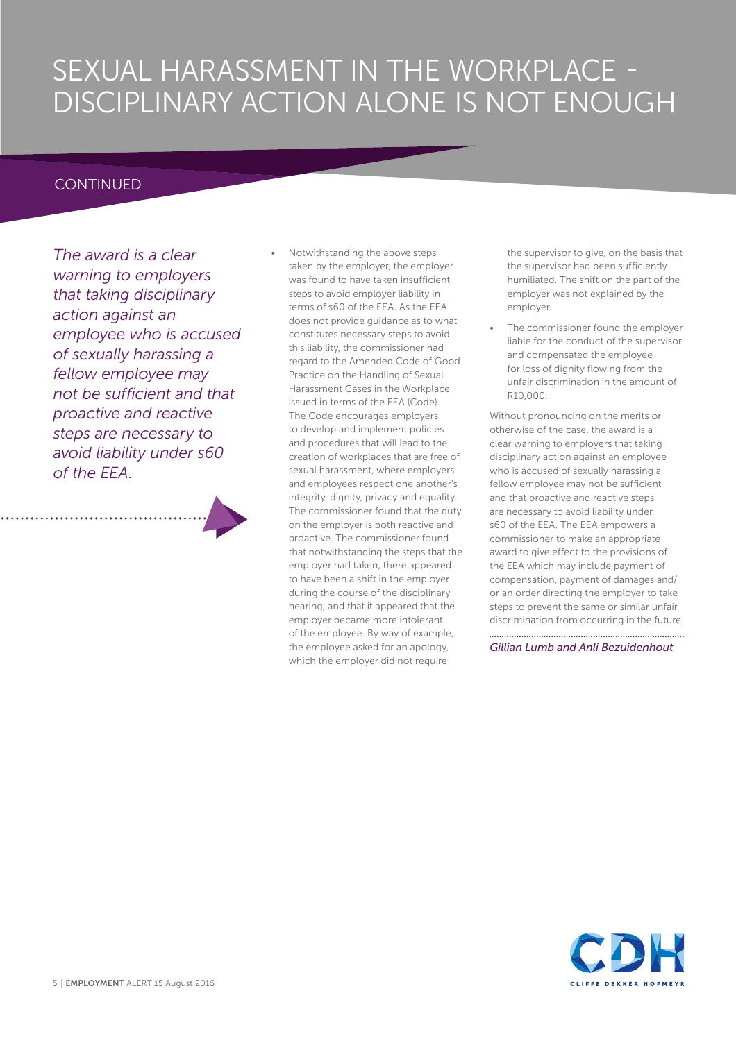# SEXUAL HARASSMENT IN THE WORKPLACE - DISCIPLINARY ACTION ALONE IS NOT ENOUGH

## **CONTINUED**

*The award is a clear warning to employers that taking disciplinary action against an employee who is accused of sexually harassing a fellow employee may not be sufficient and that proactive and reactive steps are necessary to avoid liability under s60 of the EEA.* 

• Notwithstanding the above steps taken by the employer, the employer was found to have taken insufficient steps to avoid employer liability in terms of s60 of the EEA. As the EEA does not provide guidance as to what constitutes necessary steps to avoid this liability, the commissioner had regard to the Amended Code of Good Practice on the Handling of Sexual Harassment Cases in the Workplace issued in terms of the EEA (Code). The Code encourages employers to develop and implement policies and procedures that will lead to the creation of workplaces that are free of sexual harassment, where employers and employees respect one another's integrity, dignity, privacy and equality. The commissioner found that the duty on the employer is both reactive and proactive. The commissioner found that notwithstanding the steps that the employer had taken, there appeared to have been a shift in the employer during the course of the disciplinary hearing, and that it appeared that the employer became more intolerant of the employee. By way of example, the employee asked for an apology, which the employer did not require

the supervisor to give, on the basis that the supervisor had been sufficiently humiliated. The shift on the part of the employer was not explained by the employer.

The commissioner found the employer liable for the conduct of the supervisor and compensated the employee for loss of dignity flowing from the unfair discrimination in the amount of R10,000.

Without pronouncing on the merits or otherwise of the case, the award is a clear warning to employers that taking disciplinary action against an employee who is accused of sexually harassing a fellow employee may not be sufficient and that proactive and reactive steps are necessary to avoid liability under s60 of the EEA. The EEA empowers a commissioner to make an appropriate award to give effect to the provisions of the EEA which may include payment of compensation, payment of damages and/ or an order directing the employer to take steps to prevent the same or similar unfair discrimination from occurring in the future.

*Gillian Lumb and Anli Bezuidenhout*

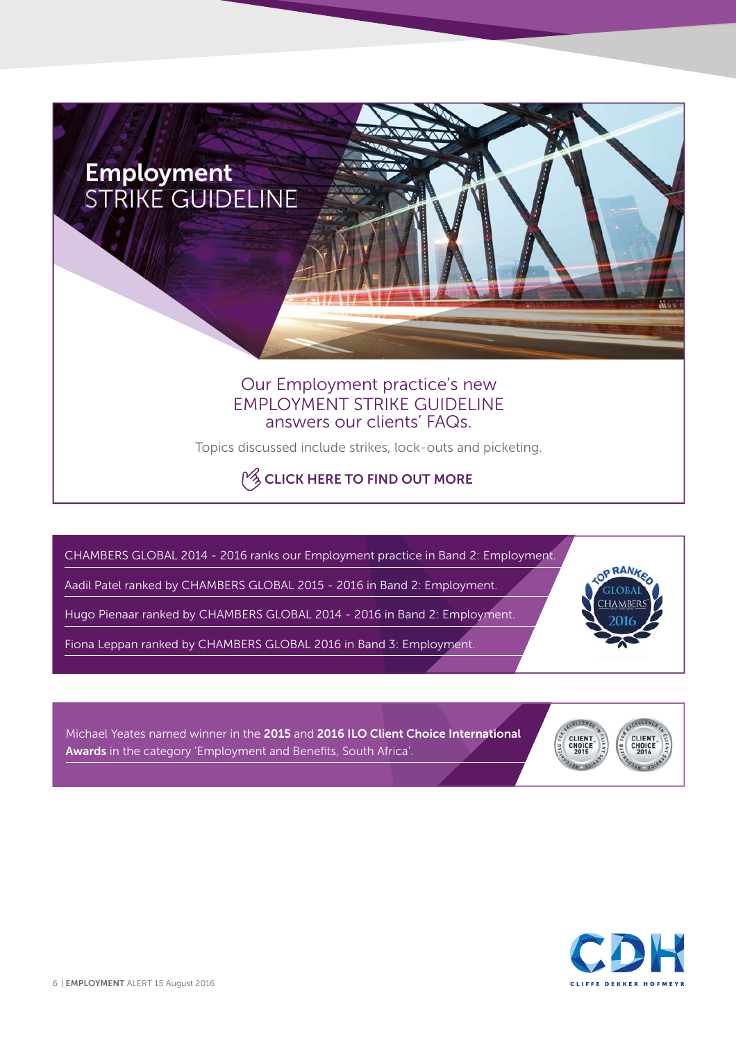

**[CLICK HERE T](http://www.cliffedekkerhofmeyr.com/export/sites/cdh/en/practice-areas/downloads/Employment-Strike-Guideline.pdf)O FIND OUT MORE**

CHAMBERS GLOBAL 2014 - 2016 ranks our Employment practice in Band 2: Employment.

Aadil Patel ranked by CHAMBERS GLOBAL 2015 - 2016 in Band 2: Employment.

Hugo Pienaar ranked by CHAMBERS GLOBAL 2014 - 2016 in Band 2: Employment.

Fiona Leppan ranked by CHAMBERS GLOBAL 2016 in Band 3: Employment.

Michael Yeates named winner in the **2015** and **2016 ILO Client Choice International**  Awards in the category 'Employment and Benefits, South Africa'.